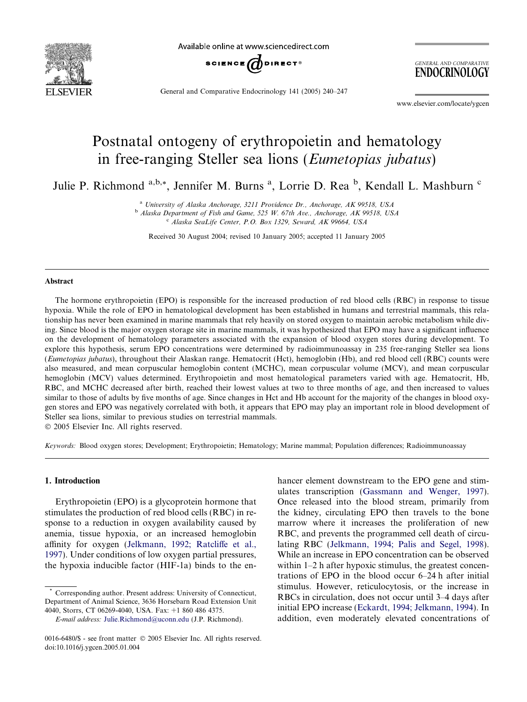

Available online at www.sciencedirect.com



General and Comparative Endocrinology 141 (2005) 240–247

GENERAL AND COMPARATIVE ENDOCRINOLOGY

www.elsevier.com/locate/ygcen

# Postnatal ontogeny of erythropoietin and hematology in free-ranging Steller sea lions (Eumetopias jubatus)

Julie P. Richmond <sup>a,b,\*</sup>, Jennifer M. Burns <sup>a</sup>, Lorrie D. Rea <sup>b</sup>, Kendall L. Mashburn <sup>c</sup>

<sup>a</sup> University of Alaska Anchorage, 3211 Providence Dr., Anchorage, AK 99518, USA

 $<sup>b</sup>$  Alaska Department of Fish and Game, 525 W, 67th Ave., Anchorage, AK 99518, USA</sup>

<sup>c</sup> Alaska SeaLife Center, P.O. Box 1329, Seward, AK 99664, USA

Received 30 August 2004; revised 10 January 2005; accepted 11 January 2005

#### Abstract

The hormone erythropoietin (EPO) is responsible for the increased production of red blood cells (RBC) in response to tissue hypoxia. While the role of EPO in hematological development has been established in humans and terrestrial mammals, this relationship has never been examined in marine mammals that rely heavily on stored oxygen to maintain aerobic metabolism while diving. Since blood is the major oxygen storage site in marine mammals, it was hypothesized that EPO may have a significant influence on the development of hematology parameters associated with the expansion of blood oxygen stores during development. To explore this hypothesis, serum EPO concentrations were determined by radioimmunoassay in 235 free-ranging Steller sea lions (Eumetopias jubatus), throughout their Alaskan range. Hematocrit (Hct), hemoglobin (Hb), and red blood cell (RBC) counts were also measured, and mean corpuscular hemoglobin content (MCHC), mean corpuscular volume (MCV), and mean corpuscular hemoglobin (MCV) values determined. Erythropoietin and most hematological parameters varied with age. Hematocrit, Hb, RBC, and MCHC decreased after birth, reached their lowest values at two to three months of age, and then increased to values similar to those of adults by five months of age. Since changes in Hct and Hb account for the majority of the changes in blood oxygen stores and EPO was negatively correlated with both, it appears that EPO may play an important role in blood development of Steller sea lions, similar to previous studies on terrestrial mammals.

2005 Elsevier Inc. All rights reserved.

Keywords: Blood oxygen stores; Development; Erythropoietin; Hematology; Marine mammal; Population differences; Radioimmunoassay

# 1. Introduction

Erythropoietin (EPO) is a glycoprotein hormone that stimulates the production of red blood cells (RBC) in response to a reduction in oxygen availability caused by anemia, tissue hypoxia, or an increased hemoglobin affinity for oxygen ([Jelkmann, 1992; Ratcliffe et al.,](#page-7-0) [1997\)](#page-7-0). Under conditions of low oxygen partial pressures, the hypoxia inducible factor (HIF-1a) binds to the enhancer element downstream to the EPO gene and stimulates transcription [\(Gassmann and Wenger, 1997\)](#page-7-0). Once released into the blood stream, primarily from the kidney, circulating EPO then travels to the bone marrow where it increases the proliferation of new RBC, and prevents the programmed cell death of circulating RBC [\(Jelkmann, 1994; Palis and Segel, 1998\)](#page-7-0). While an increase in EPO concentration can be observed within 1–2 h after hypoxic stimulus, the greatest concentrations of EPO in the blood occur 6–24 h after initial stimulus. However, reticulocytosis, or the increase in RBCs in circulation, does not occur until 3–4 days after initial EPO increase ([Eckardt, 1994; Jelkmann, 1994\)](#page-7-0). In addition, even moderately elevated concentrations of

Corresponding author. Present address: University of Connecticut, Department of Animal Science, 3636 Horsebarn Road Extension Unit 4040, Storrs, CT 06269-4040, USA. Fax: +1 860 486 4375.

E-mail address: [Julie.Richmond@uconn.edu](mailto:Julie.Richmond@uconn.edu) (J.P. Richmond).

<sup>0016-6480/\$ -</sup> see front matter © 2005 Elsevier Inc. All rights reserved. doi:10.1016/j.ygcen.2005.01.004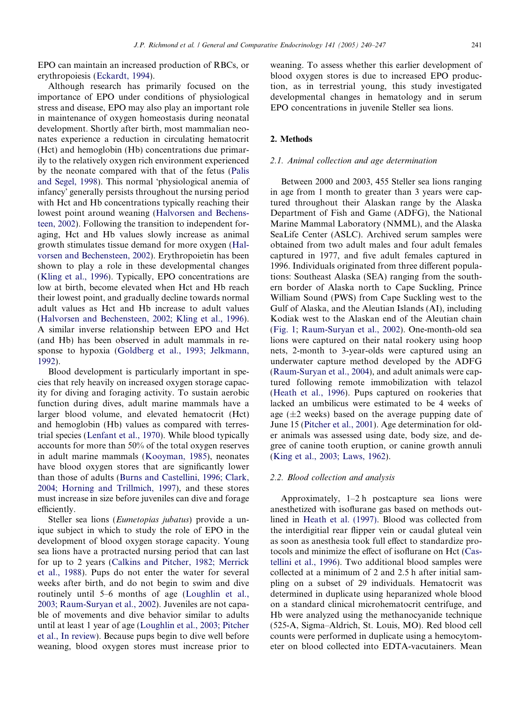EPO can maintain an increased production of RBCs, or erythropoiesis [\(Eckardt, 1994](#page-7-0)).

Although research has primarily focused on the importance of EPO under conditions of physiological stress and disease, EPO may also play an important role in maintenance of oxygen homeostasis during neonatal development. Shortly after birth, most mammalian neonates experience a reduction in circulating hematocrit (Hct) and hemoglobin (Hb) concentrations due primarily to the relatively oxygen rich environment experienced by the neonate compared with that of the fetus [\(Palis](#page-7-0) [and Segel, 1998](#page-7-0)). This normal 'physiological anemia of infancy' generally persists throughout the nursing period with Hct and Hb concentrations typically reaching their lowest point around weaning [\(Halvorsen and Bechens](#page-7-0)[teen, 2002](#page-7-0)). Following the transition to independent foraging, Hct and Hb values slowly increase as animal growth stimulates tissue demand for more oxygen [\(Hal](#page-7-0)[vorsen and Bechensteen, 2002\)](#page-7-0). Erythropoietin has been shown to play a role in these developmental changes ([Kling et al., 1996](#page-7-0)). Typically, EPO concentrations are low at birth, become elevated when Hct and Hb reach their lowest point, and gradually decline towards normal adult values as Hct and Hb increase to adult values ([Halvorsen and Bechensteen, 2002; Kling et al., 1996\)](#page-7-0). A similar inverse relationship between EPO and Hct (and Hb) has been observed in adult mammals in response to hypoxia ([Goldberg et al., 1993; Jelkmann,](#page-7-0) [1992](#page-7-0)).

Blood development is particularly important in species that rely heavily on increased oxygen storage capacity for diving and foraging activity. To sustain aerobic function during dives, adult marine mammals have a larger blood volume, and elevated hematocrit (Hct) and hemoglobin (Hb) values as compared with terrestrial species [\(Lenfant et al., 1970\)](#page-7-0). While blood typically accounts for more than 50% of the total oxygen reserves in adult marine mammals ([Kooyman, 1985\)](#page-7-0), neonates have blood oxygen stores that are significantly lower than those of adults [\(Burns and Castellini, 1996; Clark,](#page-6-0) [2004; Horning and Trillmich, 1997\)](#page-6-0), and these stores must increase in size before juveniles can dive and forage efficiently.

Steller sea lions (Eumetopias jubatus) provide a unique subject in which to study the role of EPO in the development of blood oxygen storage capacity. Young sea lions have a protracted nursing period that can last for up to 2 years [\(Calkins and Pitcher, 1982; Merrick](#page-6-0) [et al., 1988](#page-6-0)). Pups do not enter the water for several weeks after birth, and do not begin to swim and dive routinely until 5–6 months of age ([Loughlin et al.,](#page-7-0) [2003; Raum-Suryan et al., 2002](#page-7-0)). Juveniles are not capable of movements and dive behavior similar to adults until at least 1 year of age [\(Loughlin et al., 2003; Pitcher](#page-7-0) [et al., In review](#page-7-0)). Because pups begin to dive well before weaning, blood oxygen stores must increase prior to

weaning. To assess whether this earlier development of blood oxygen stores is due to increased EPO production, as in terrestrial young, this study investigated developmental changes in hematology and in serum EPO concentrations in juvenile Steller sea lions.

# 2. Methods

#### 2.1. Animal collection and age determination

Between 2000 and 2003, 455 Steller sea lions ranging in age from 1 month to greater than 3 years were captured throughout their Alaskan range by the Alaska Department of Fish and Game (ADFG), the National Marine Mammal Laboratory (NMML), and the Alaska SeaLife Center (ASLC). Archived serum samples were obtained from two adult males and four adult females captured in 1977, and five adult females captured in 1996. Individuals originated from three different populations: Southeast Alaska (SEA) ranging from the southern border of Alaska north to Cape Suckling, Prince William Sound (PWS) from Cape Suckling west to the Gulf of Alaska, and the Aleutian Islands (AI), including Kodiak west to the Alaskan end of the Aleutian chain ([Fig. 1](#page-2-0); [Raum-Suryan et al., 2002](#page-7-0)). One-month-old sea lions were captured on their natal rookery using hoop nets, 2-month to 3-year-olds were captured using an underwater capture method developed by the ADFG ([Raum-Suryan et al., 2004](#page-7-0)), and adult animals were captured following remote immobilization with telazol ([Heath et al., 1996\)](#page-7-0). Pups captured on rookeries that lacked an umbilicus were estimated to be 4 weeks of age  $(\pm 2$  weeks) based on the average pupping date of June 15 ([Pitcher et al., 2001\)](#page-7-0). Age determination for older animals was assessed using date, body size, and degree of canine tooth eruption, or canine growth annuli ([King et al., 2003; Laws, 1962\)](#page-7-0).

#### 2.2. Blood collection and analysis

Approximately, 1–2 h postcapture sea lions were anesthetized with isoflurane gas based on methods outlined in [Heath et al. \(1997\).](#page-7-0) Blood was collected from the interdigitial rear flipper vein or caudal gluteal vein as soon as anesthesia took full effect to standardize protocols and minimize the effect of isoflurane on Hct [\(Cas](#page-6-0)[tellini et al., 1996\)](#page-6-0). Two additional blood samples were collected at a minimum of 2 and 2.5 h after initial sampling on a subset of 29 individuals. Hematocrit was determined in duplicate using heparanized whole blood on a standard clinical microhematocrit centrifuge, and Hb were analyzed using the methanocyanide technique (525-A, Sigma–Aldrich, St. Louis, MO). Red blood cell counts were performed in duplicate using a hemocytometer on blood collected into EDTA-vacutainers. Mean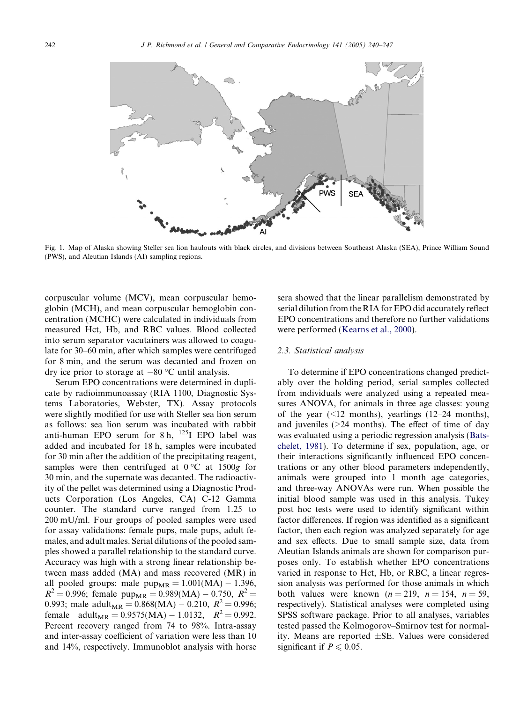<span id="page-2-0"></span>

Fig. 1. Map of Alaska showing Steller sea lion haulouts with black circles, and divisions between Southeast Alaska (SEA), Prince William Sound (PWS), and Aleutian Islands (AI) sampling regions.

corpuscular volume (MCV), mean corpuscular hemoglobin (MCH), and mean corpuscular hemoglobin concentration (MCHC) were calculated in individuals from measured Hct, Hb, and RBC values. Blood collected into serum separator vacutainers was allowed to coagulate for 30–60 min, after which samples were centrifuged for 8 min, and the serum was decanted and frozen on dry ice prior to storage at  $-80$  °C until analysis.

Serum EPO concentrations were determined in duplicate by radioimmunoassay (RIA 1100, Diagnostic Systems Laboratories, Webster, TX). Assay protocols were slightly modified for use with Steller sea lion serum as follows: sea lion serum was incubated with rabbit anti-human EPO serum for  $8 h$ ,  $125$ I EPO label was added and incubated for 18 h, samples were incubated for 30 min after the addition of the precipitating reagent, samples were then centrifuged at  $0^{\circ}$ C at  $1500g$  for 30 min, and the supernate was decanted. The radioactivity of the pellet was determined using a Diagnostic Products Corporation (Los Angeles, CA) C-12 Gamma counter. The standard curve ranged from 1.25 to 200 mU/ml. Four groups of pooled samples were used for assay validations: female pups, male pups, adult females, and adult males. Serial dilutions of the pooled samples showed a parallel relationship to the standard curve. Accuracy was high with a strong linear relationship between mass added (MA) and mass recovered (MR) in all pooled groups: male  $pump_{MR} = 1.001(MA) - 1.396$ ,  $R^2 = 0.996$ ; female pup<sub>MR</sub> = 0.989(MA) – 0.750,  $R^2 =$ 0.993; male adult<sub>MR</sub> =  $0.868(MA) - 0.210$ ,  $R^2 = 0.996$ ; female adult<sub>MR</sub> =  $0.9575$ (MA) – 1.0132,  $R^2 = 0.992$ . Percent recovery ranged from 74 to 98%. Intra-assay and inter-assay coefficient of variation were less than 10 and 14%, respectively. Immunoblot analysis with horse sera showed that the linear parallelism demonstrated by serial dilution from the RIA for EPO did accurately reflect EPO concentrations and therefore no further validations were performed [\(Kearns et al., 2000](#page-7-0)).

## 2.3. Statistical analysis

To determine if EPO concentrations changed predictably over the holding period, serial samples collected from individuals were analyzed using a repeated measures ANOVA, for animals in three age classes: young of the year  $(\leq 12 \text{ months})$ , yearlings  $(12-24 \text{ months})$ , and juveniles  $(>=24 \text{ months})$ . The effect of time of day was evaluated using a periodic regression analysis ([Bats](#page-6-0)[chelet, 1981](#page-6-0)). To determine if sex, population, age, or their interactions significantly influenced EPO concentrations or any other blood parameters independently, animals were grouped into 1 month age categories, and three-way ANOVAs were run. When possible the initial blood sample was used in this analysis. Tukey post hoc tests were used to identify significant within factor differences. If region was identified as a significant factor, then each region was analyzed separately for age and sex effects. Due to small sample size, data from Aleutian Islands animals are shown for comparison purposes only. To establish whether EPO concentrations varied in response to Hct, Hb, or RBC, a linear regression analysis was performed for those animals in which both values were known  $(n = 219, n = 154, n = 59)$ . respectively). Statistical analyses were completed using SPSS software package. Prior to all analyses, variables tested passed the Kolmogorov–Smirnov test for normality. Means are reported ±SE. Values were considered significant if  $P \leq 0.05$ .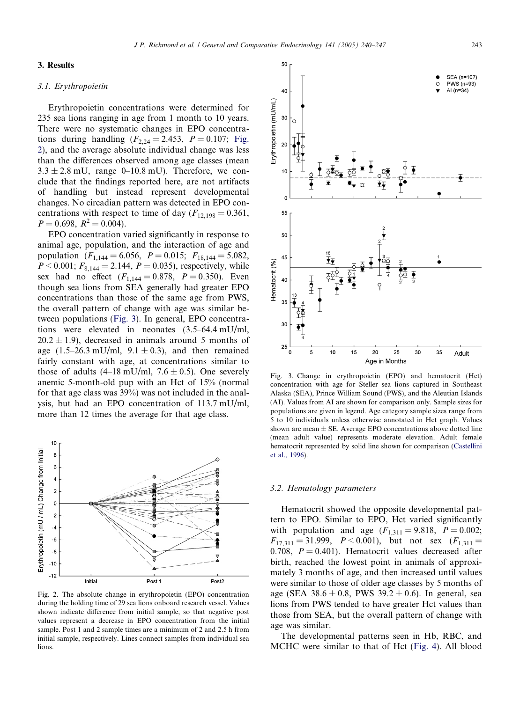#### 3. Results

#### 3.1. Erythropoietin

Erythropoietin concentrations were determined for 235 sea lions ranging in age from 1 month to 10 years. There were no systematic changes in EPO concentrations during handling  $(F_{2,24} = 2.453, P = 0.107;$  Fig. 2), and the average absolute individual change was less than the differences observed among age classes (mean  $3.3 \pm 2.8$  mU, range 0–10.8 mU). Therefore, we conclude that the findings reported here, are not artifacts of handling but instead represent developmental changes. No circadian pattern was detected in EPO concentrations with respect to time of day  $(F_{12,198} = 0.361,$  $P = 0.698$ ,  $R^2 = 0.004$ .

EPO concentration varied significantly in response to animal age, population, and the interaction of age and population  $(F_{1,144} = 6.056, P = 0.015; F_{18,144} = 5.082,$  $P < 0.001$ ;  $F_{8,144} = 2.144$ ,  $P = 0.035$ ), respectively, while sex had no effect  $(F_{1,144} = 0.878, P = 0.350)$ . Even though sea lions from SEA generally had greater EPO concentrations than those of the same age from PWS, the overall pattern of change with age was similar between populations (Fig. 3). In general, EPO concentrations were elevated in neonates (3.5–64.4 mU/ml,  $20.2 \pm 1.9$ ), decreased in animals around 5 months of age  $(1.5-26.3 \text{ mU/ml}, 9.1 \pm 0.3)$ , and then remained fairly constant with age, at concentrations similar to those of adults  $(4-18 \text{ mU/ml}, 7.6 \pm 0.5)$ . One severely anemic 5-month-old pup with an Hct of 15% (normal for that age class was 39%) was not included in the analysis, but had an EPO concentration of 113.7 mU/ml, more than 12 times the average for that age class.



Fig. 2. The absolute change in erythropoietin (EPO) concentration during the holding time of 29 sea lions onboard research vessel. Values shown indicate difference from initial sample, so that negative post values represent a decrease in EPO concentration from the initial sample. Post 1 and 2 sample times are a minimum of 2 and 2.5 h from initial sample, respectively. Lines connect samples from individual sea lions.



Fig. 3. Change in erythropoietin (EPO) and hematocrit (Hct) concentration with age for Steller sea lions captured in Southeast Alaska (SEA), Prince William Sound (PWS), and the Aleutian Islands (AI). Values from AI are shown for comparison only. Sample sizes for populations are given in legend. Age category sample sizes range from 5 to 10 individuals unless otherwise annotated in Hct graph. Values shown are mean  $\pm$  SE. Average EPO concentrations above dotted line (mean adult value) represents moderate elevation. Adult female hematocrit represented by solid line shown for comparison ([Castellini](#page-6-0) [et al., 1996](#page-6-0)).

#### 3.2. Hematology parameters

Hematocrit showed the opposite developmental pattern to EPO. Similar to EPO, Hct varied significantly with population and age  $(F_{1,311} = 9.818, P = 0.002;$  $F_{17,311} = 31.999$ ,  $P < 0.001$ ), but not sex  $(F_{1,311} =$ 0.708,  $P = 0.401$ . Hematocrit values decreased after birth, reached the lowest point in animals of approximately 3 months of age, and then increased until values were similar to those of older age classes by 5 months of age (SEA  $38.6 \pm 0.8$ , PWS  $39.2 \pm 0.6$ ). In general, sea lions from PWS tended to have greater Hct values than those from SEA, but the overall pattern of change with age was similar.

The developmental patterns seen in Hb, RBC, and MCHC were similar to that of Hct [\(Fig. 4](#page-4-0)). All blood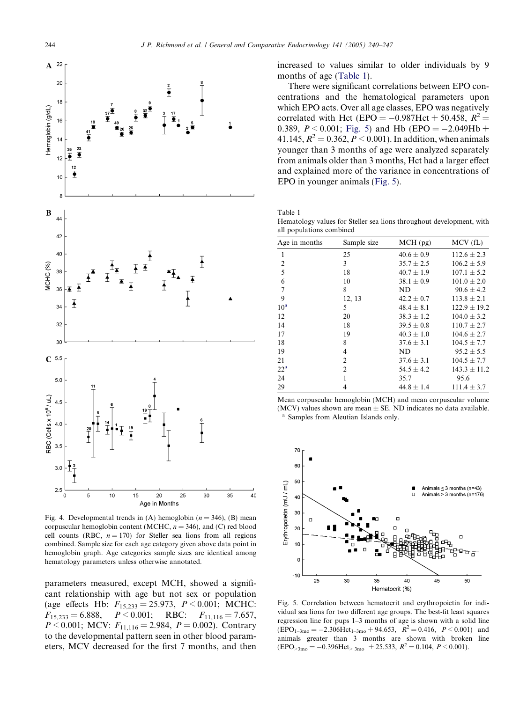<span id="page-4-0"></span>

Fig. 4. Developmental trends in (A) hemoglobin ( $n = 346$ ), (B) mean corpuscular hemoglobin content (MCHC,  $n = 346$ ), and (C) red blood cell counts (RBC,  $n = 170$ ) for Steller sea lions from all regions combined. Sample size for each age category given above data point in hemoglobin graph. Age categories sample sizes are identical among hematology parameters unless otherwise annotated.

parameters measured, except MCH, showed a significant relationship with age but not sex or population (age effects Hb:  $F_{15,233} = 25.973$ ,  $P < 0.001$ ; MCHC:  $F_{15,233} = 6.888$ ,  $P < 0.001$ ; RBC:  $F_{11,116} = 7.657$ ,  $P < 0.001$ ; MCV:  $F_{11,116} = 2.984$ ,  $P = 0.002$ ). Contrary to the developmental pattern seen in other blood parameters, MCV decreased for the first 7 months, and then increased to values similar to older individuals by 9 months of age (Table 1).

There were significant correlations between EPO concentrations and the hematological parameters upon which EPO acts. Over all age classes, EPO was negatively correlated with Hct (EPO =  $-0.987$ Hct + 50.458,  $R^2$  = 0.389,  $P \le 0.001$ ; Fig. 5) and Hb (EPO = -2.049Hb + 41.145,  $R^2 = 0.362$ ,  $P \le 0.001$ ). In addition, when animals younger than 3 months of age were analyzed separately from animals older than 3 months, Hct had a larger effect and explained more of the variance in concentrations of EPO in younger animals (Fig. 5).

Table 1

Hematology values for Steller sea lions throughout development, with all populations combined

| an populations comomed |                |                  |
|------------------------|----------------|------------------|
| Sample size            | MCH (pg)       | MCV(fL)          |
| 25                     | $40.6 \pm 0.9$ | $112.6 \pm 2.3$  |
| $\mathbf{3}$           | $35.7 \pm 2.5$ | $106.2 \pm 5.9$  |
| 18                     | $40.7 \pm 1.9$ | $107.1 \pm 5.2$  |
| 10                     | $38.1 \pm 0.9$ | $101.0 \pm 2.0$  |
| 8                      | ND             | $90.6 \pm 4.2$   |
| 12, 13                 | $42.2 \pm 0.7$ | $113.8 \pm 2.1$  |
| 5                      | $48.4 \pm 8.1$ | $122.9 \pm 19.2$ |
| 20                     | $38.3 \pm 1.2$ | $104.0 \pm 3.2$  |
| 18                     | $39.5 \pm 0.8$ | $110.7 \pm 2.7$  |
| 19                     | $40.3 \pm 1.0$ | $104.6 \pm 2.7$  |
| 8                      | $37.6 \pm 3.1$ | $104.5 \pm 7.7$  |
| 4                      | ND             | $95.2 \pm 5.5$   |
| $\overline{2}$         | $37.6 \pm 3.1$ | $104.5 \pm 7.7$  |
| $\overline{c}$         | $54.5 \pm 4.2$ | $143.3 \pm 11.2$ |
| 1                      | 35.7           | 95.6             |
| 4                      | $44.8 \pm 1.4$ | $111.4 \pm 3.7$  |
|                        |                |                  |

Mean corpuscular hemoglobin (MCH) and mean corpuscular volume (MCV) values shown are mean  $\pm$  SE. ND indicates no data available. Samples from Aleutian Islands only.



Fig. 5. Correlation between hematocrit and erythropoietin for individual sea lions for two different age groups. The best-fit least squares regression line for pups 1–3 months of age is shown with a solid line  $(EPO<sub>1-3mo</sub> = -2.306Hct<sub>1-3mo</sub> + 94.653, R<sup>2</sup> = 0.416, P < 0.001)$  and animals greater than 3 months are shown with broken line  $(EPO_{>3mo} = -0.396$ Hct<sub>> 3mo</sub> + 25.533,  $R^2 = 0.104$ ,  $P < 0.001$ ).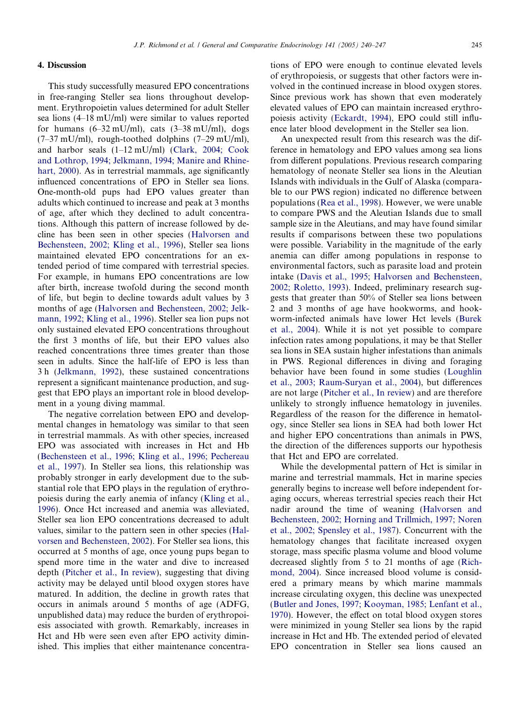## 4. Discussion

This study successfully measured EPO concentrations in free-ranging Steller sea lions throughout development. Erythropoietin values determined for adult Steller sea lions (4–18 mU/ml) were similar to values reported for humans  $(6-32 \text{ mU/ml})$ , cats  $(3-38 \text{ mU/ml})$ , dogs  $(7-37 \text{ mU/ml})$ , rough-toothed dolphins  $(7-29 \text{ mU/ml})$ , and harbor seals (1–12 mU/ml) ([Clark, 2004; Cook](#page-7-0) [and Lothrop, 1994; Jelkmann, 1994; Manire and Rhine](#page-7-0)[hart, 2000](#page-7-0)). As in terrestrial mammals, age significantly influenced concentrations of EPO in Steller sea lions. One-month-old pups had EPO values greater than adults which continued to increase and peak at 3 months of age, after which they declined to adult concentrations. Although this pattern of increase followed by decline has been seen in other species [\(Halvorsen and](#page-7-0) [Bechensteen, 2002; Kling et al., 1996\)](#page-7-0), Steller sea lions maintained elevated EPO concentrations for an extended period of time compared with terrestrial species. For example, in humans EPO concentrations are low after birth, increase twofold during the second month of life, but begin to decline towards adult values by 3 months of age ([Halvorsen and Bechensteen, 2002; Jelk](#page-7-0)[mann, 1992; Kling et al., 1996\)](#page-7-0). Steller sea lion pups not only sustained elevated EPO concentrations throughout the first 3 months of life, but their EPO values also reached concentrations three times greater than those seen in adults. Since the half-life of EPO is less than 3h ([Jelkmann, 1992](#page-7-0)), these sustained concentrations represent a significant maintenance production, and suggest that EPO plays an important role in blood development in a young diving mammal.

The negative correlation between EPO and developmental changes in hematology was similar to that seen in terrestrial mammals. As with other species, increased EPO was associated with increases in Hct and Hb ([Bechensteen et al., 1996; Kling et al., 1996; Pechereau](#page-6-0) [et al., 1997\)](#page-6-0). In Steller sea lions, this relationship was probably stronger in early development due to the substantial role that EPO plays in the regulation of erythropoiesis during the early anemia of infancy [\(Kling et al.,](#page-7-0) [1996](#page-7-0)). Once Hct increased and anemia was alleviated, Steller sea lion EPO concentrations decreased to adult values, similar to the pattern seen in other species [\(Hal](#page-7-0)[vorsen and Bechensteen, 2002\)](#page-7-0). For Steller sea lions, this occurred at 5 months of age, once young pups began to spend more time in the water and dive to increased depth ([Pitcher et al., In review\)](#page-7-0), suggesting that diving activity may be delayed until blood oxygen stores have matured. In addition, the decline in growth rates that occurs in animals around 5 months of age (ADFG, unpublished data) may reduce the burden of erythropoiesis associated with growth. Remarkably, increases in Hct and Hb were seen even after EPO activity diminished. This implies that either maintenance concentrations of EPO were enough to continue elevated levels of erythropoiesis, or suggests that other factors were involved in the continued increase in blood oxygen stores. Since previous work has shown that even moderately elevated values of EPO can maintain increased erythropoiesis activity ([Eckardt, 1994\)](#page-7-0), EPO could still influence later blood development in the Steller sea lion.

An unexpected result from this research was the difference in hematology and EPO values among sea lions from different populations. Previous research comparing hematology of neonate Steller sea lions in the Aleutian Islands with individuals in the Gulf of Alaska (comparable to our PWS region) indicated no difference between populations [\(Rea et al., 1998](#page-7-0)). However, we were unable to compare PWS and the Aleutian Islands due to small sample size in the Aleutians, and may have found similar results if comparisons between these two populations were possible. Variability in the magnitude of the early anemia can differ among populations in response to environmental factors, such as parasite load and protein intake ([Davis et al., 1995; Halvorsen and Bechensteen,](#page-7-0) [2002; Roletto, 1993](#page-7-0)). Indeed, preliminary research suggests that greater than 50% of Steller sea lions between 2 and 3 months of age have hookworms, and hookworm-infected animals have lower Hct levels ([Burek](#page-6-0) [et al., 2004\)](#page-6-0). While it is not yet possible to compare infection rates among populations, it may be that Steller sea lions in SEA sustain higher infestations than animals in PWS. Regional differences in diving and foraging behavior have been found in some studies ([Loughlin](#page-7-0) [et al., 2003; Raum-Suryan et al., 2004](#page-7-0)), but differences are not large ([Pitcher et al., In review](#page-7-0)) and are therefore unlikely to strongly influence hematology in juveniles. Regardless of the reason for the difference in hematology, since Steller sea lions in SEA had both lower Hct and higher EPO concentrations than animals in PWS, the direction of the differences supports our hypothesis that Hct and EPO are correlated.

While the developmental pattern of Hct is similar in marine and terrestrial mammals, Hct in marine species generally begins to increase well before independent foraging occurs, whereas terrestrial species reach their Hct nadir around the time of weaning [\(Halvorsen and](#page-7-0) [Bechensteen, 2002; Horning and Trillmich, 1997; Noren](#page-7-0) [et al., 2002; Spensley et al., 1987](#page-7-0)). Concurrent with the hematology changes that facilitate increased oxygen storage, mass specific plasma volume and blood volume decreased slightly from 5 to 21 months of age [\(Rich](#page-7-0)[mond, 2004](#page-7-0)). Since increased blood volume is considered a primary means by which marine mammals increase circulating oxygen, this decline was unexpected ([Butler and Jones, 1997; Kooyman, 1985; Lenfant et al.,](#page-6-0) [1970](#page-6-0)). However, the effect on total blood oxygen stores were minimized in young Steller sea lions by the rapid increase in Hct and Hb. The extended period of elevated EPO concentration in Steller sea lions caused an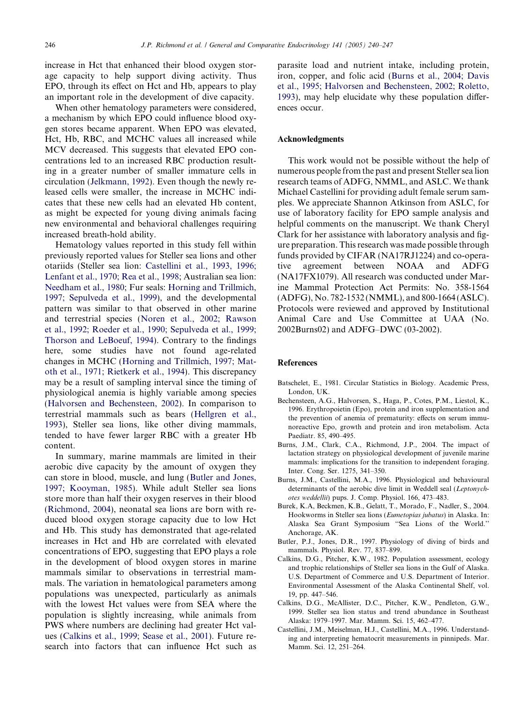<span id="page-6-0"></span>increase in Hct that enhanced their blood oxygen storage capacity to help support diving activity. Thus EPO, through its effect on Hct and Hb, appears to play an important role in the development of dive capacity.

When other hematology parameters were considered, a mechanism by which EPO could influence blood oxygen stores became apparent. When EPO was elevated, Hct, Hb, RBC, and MCHC values all increased while MCV decreased. This suggests that elevated EPO concentrations led to an increased RBC production resulting in a greater number of smaller immature cells in circulation [\(Jelkmann, 1992\)](#page-7-0). Even though the newly released cells were smaller, the increase in MCHC indicates that these new cells had an elevated Hb content, as might be expected for young diving animals facing new environmental and behavioral challenges requiring increased breath-hold ability.

Hematology values reported in this study fell within previously reported values for Steller sea lions and other otariids (Steller sea lion: [Castellini et al., 1993, 1996;](#page-7-0) [Lenfant et al., 1970; Rea et al., 1998](#page-7-0); Australian sea lion: [Needham et al., 1980;](#page-7-0) Fur seals: [Horning and Trillmich,](#page-7-0) [1997; Sepulveda et al., 1999](#page-7-0)), and the developmental pattern was similar to that observed in other marine and terrestrial species ([Noren et al., 2002; Rawson](#page-7-0) [et al., 1992; Roeder et al., 1990; Sepulveda et al., 1999;](#page-7-0) [Thorson and LeBoeuf, 1994\)](#page-7-0). Contrary to the findings here, some studies have not found age-related changes in MCHC [\(Horning and Trillmich, 1997; Mat](#page-7-0)[oth et al., 1971; Rietkerk et al., 1994\)](#page-7-0). This discrepancy may be a result of sampling interval since the timing of physiological anemia is highly variable among species ([Halvorsen and Bechensteen, 2002](#page-7-0)). In comparison to terrestrial mammals such as bears [\(Hellgren et al.,](#page-7-0) [1993\)](#page-7-0), Steller sea lions, like other diving mammals, tended to have fewer larger RBC with a greater Hb content.

In summary, marine mammals are limited in their aerobic dive capacity by the amount of oxygen they can store in blood, muscle, and lung (Butler and Jones, 1997; Kooyman, 1985). While adult Steller sea lions store more than half their oxygen reserves in their blood ([Richmond, 2004](#page-7-0)), neonatal sea lions are born with reduced blood oxygen storage capacity due to low Hct and Hb. This study has demonstrated that age-related increases in Hct and Hb are correlated with elevated concentrations of EPO, suggesting that EPO plays a role in the development of blood oxygen stores in marine mammals similar to observations in terrestrial mammals. The variation in hematological parameters among populations was unexpected, particularly as animals with the lowest Hct values were from SEA where the population is slightly increasing, while animals from PWS where numbers are declining had greater Hct values (Calkins et al., 1999; Sease et al., 2001). Future research into factors that can influence Hct such as parasite load and nutrient intake, including protein, iron, copper, and folic acid (Burns et al., 2004; Davis et al., 1995; Halvorsen and Bechensteen, 2002; Roletto, 1993), may help elucidate why these population differences occur.

#### Acknowledgments

This work would not be possible without the help of numerous people from the past and present Steller sea lion research teams of ADFG, NMML, and ASLC. We thank Michael Castellini for providing adult female serum samples. We appreciate Shannon Atkinson from ASLC, for use of laboratory facility for EPO sample analysis and helpful comments on the manuscript. We thank Cheryl Clark for her assistance with laboratory analysis and figure preparation. This research was made possible through funds provided by CIFAR (NA17RJ1224) and co-operative agreement between NOAA and ADFG (NA17FX1079). All research was conducted under Marine Mammal Protection Act Permits: No. 358-1564 (ADFG), No. 782-1532 (NMML), and 800-1664 (ASLC). Protocols were reviewed and approved by Institutional Animal Care and Use Committee at UAA (No. 2002Burns02) and ADFG–DWC (03-2002).

## References

- Batschelet, E., 1981. Circular Statistics in Biology. Academic Press, London, UK.
- Bechensteen, A.G., Halvorsen, S., Haga, P., Cotes, P.M., Liestol, K., 1996. Erythropoietin (Epo), protein and iron supplementation and the prevention of anemia of prematurity: effects on serum immunoreactive Epo, growth and protein and iron metabolism. Acta Paediatr. 85, 490–495.
- Burns, J.M., Clark, C.A., Richmond, J.P., 2004. The impact of lactation strategy on physiological development of juvenile marine mammals: implications for the transition to independent foraging. Inter. Cong. Ser. 1275, 341–350.
- Burns, J.M., Castellini, M.A., 1996. Physiological and behavioural determinants of the aerobic dive limit in Weddell seal (Leptonychotes weddellii) pups. J. Comp. Physiol. 166, 473–483.
- Burek, K.A, Beckmen, K.B., Gelatt, T., Morado, F., Nadler, S., 2004. Hookworms in Steller sea lions (Eumetopias jubatus) in Alaska. In: Alaska Sea Grant Symposium ''Sea Lions of the World.'' Anchorage, AK.
- Butler, P.J., Jones, D.R., 1997. Physiology of diving of birds and mammals. Physiol. Rev. 77, 837–899.
- Calkins, D.G., Pitcher, K.W., 1982. Population assessment, ecology and trophic relationships of Steller sea lions in the Gulf of Alaska. U.S. Department of Commerce and U.S. Department of Interior. Environmental Assessment of the Alaska Continental Shelf, vol. 19, pp. 447–546.
- Calkins, D.G., McAllister, D.C., Pitcher, K.W., Pendleton, G.W., 1999. Steller sea lion status and trend abundance in Southeast Alaska: 1979–1997. Mar. Mamm. Sci. 15, 462–477.
- Castellini, J.M., Meiselman, H.J., Castellini, M.A., 1996. Understanding and interpreting hematocrit measurements in pinnipeds. Mar. Mamm. Sci. 12, 251–264.